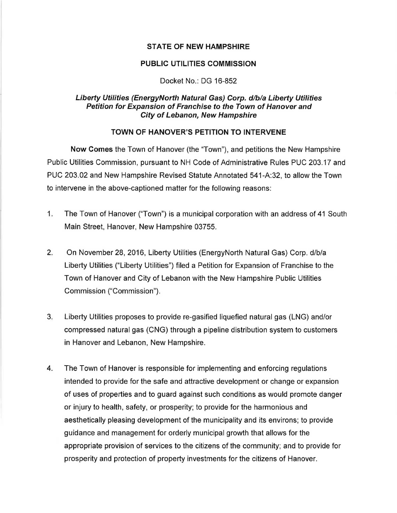### **STATE OF NEW HAMPSHIRE**

### PUBLIC UTILITIES COMMISSION

### Docket No.: DG 16-852

## Liberty Utilities (EnergyNorth Natural Gas) Corp. d/b/a Liberty Utilities Petition for Expansion of Franchise to the Town of Hanover and City of Lebanon, New Hampshire

# TOWN OF HANOVER'S PETITION TO INTERVENE

Now Comes the Town of Hanover (the "Town"), and petitions the New Hampshire Public Utilities Commission, pursuant to NH Code of Administrative Rules PUC 203.17 and PUC 203.02 and New Hampshire Revised Statute Annotated 541-A:32, to allow the Town to intervene in the above-captioned matter for the following reasons:

- 1. The Town of Hanover ("Town") is a municipal corporation with an address of 41 South Main Street, Hanover, New Hampshire 03755.
- 2. On November 28, 2016, Liberty Utilities (EnergyNorth Natural Gas) Corp. d/b/a Liberty Utilities ("Liberty Utilities") filed a Petition for Expansion of Franchise to the Town of Hanover and City of Lebanon with the New Hampshire Public Utilities Commission ("Commission").
- 3. Liberty Utilities proposes to provide re-gasified liquefied natural gas (LNG) and/or compressed natural gas (CNG) through a pipeline distribution system to customers in Hanover and Lebanon, New Hampshire.
- 4. The Town of Hanover is responsible for implementing and enforcing regulations intended to provide for the safe and attractive development or change or expansion of uses of properties and to guard against such conditions as would promote danger or injury to health, safety, or prosperity; to provide for the harmonious and aesthetically pleasing development of the municipality and its environs; to provide guidance and management for orderly municipal growth that allows for the appropriate provision of services to the citizens of the community; and to provide for prosperity and protection of property investments for the citizens of Hanover.